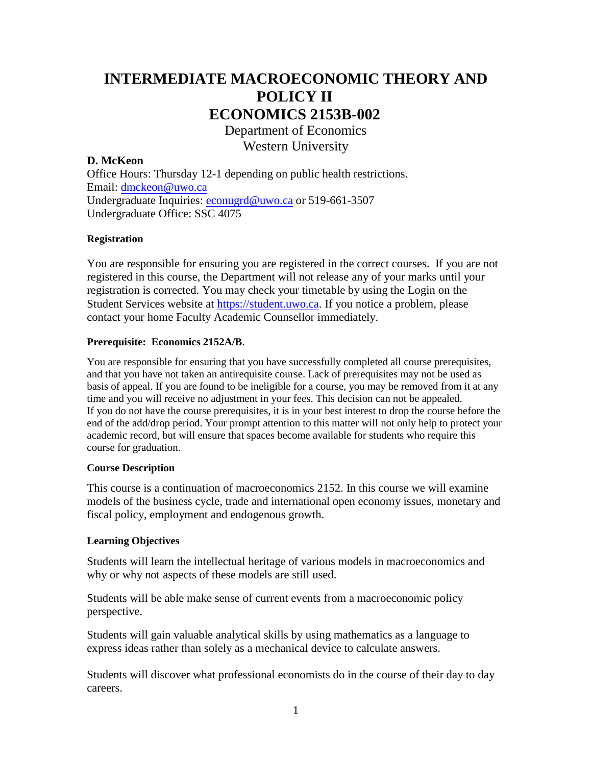# **INTERMEDIATE MACROECONOMIC THEORY AND POLICY II ECONOMICS 2153B-002**

Department of Economics Western University

# **D. McKeon**

Office Hours: Thursday 12-1 depending on public health restrictions. Email: [dmckeon@uwo.ca](mailto:dmckeon@uwo.ca) Undergraduate Inquiries: [econugrd@uwo.ca](mailto:econugrd@uwo.ca) or 519-661-3507 Undergraduate Office: SSC 4075

# **Registration**

You are responsible for ensuring you are registered in the correct courses. If you are not registered in this course, the Department will not release any of your marks until your registration is corrected. You may check your timetable by using the Login on the Student Services website at [https://student.uwo.ca.](https://student.uwo.ca/) If you notice a problem, please contact your home Faculty Academic Counsellor immediately.

# **Prerequisite: Economics 2152A/B**.

You are responsible for ensuring that you have successfully completed all course prerequisites, and that you have not taken an antirequisite course. Lack of prerequisites may not be used as basis of appeal. If you are found to be ineligible for a course, you may be removed from it at any time and you will receive no adjustment in your fees. This decision can not be appealed. If you do not have the course prerequisites, it is in your best interest to drop the course before the end of the add/drop period. Your prompt attention to this matter will not only help to protect your academic record, but will ensure that spaces become available for students who require this course for graduation.

#### **Course Description**

This course is a continuation of macroeconomics 2152. In this course we will examine models of the business cycle, trade and international open economy issues, monetary and fiscal policy, employment and endogenous growth.

# **Learning Objectives**

Students will learn the intellectual heritage of various models in macroeconomics and why or why not aspects of these models are still used.

Students will be able make sense of current events from a macroeconomic policy perspective.

Students will gain valuable analytical skills by using mathematics as a language to express ideas rather than solely as a mechanical device to calculate answers.

Students will discover what professional economists do in the course of their day to day careers.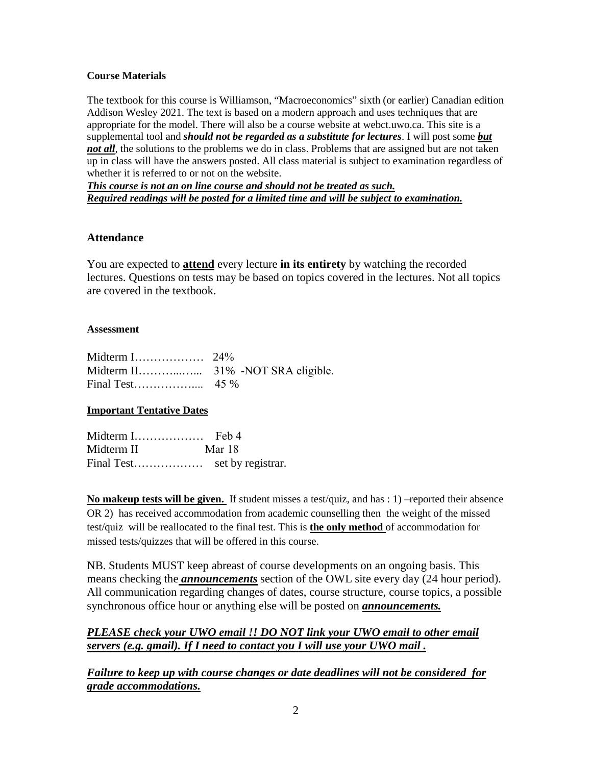# **Course Materials**

The textbook for this course is Williamson, "Macroeconomics" sixth (or earlier) Canadian edition Addison Wesley 2021. The text is based on a modern approach and uses techniques that are appropriate for the model. There will also be a course website at webct.uwo.ca. This site is a supplemental tool and *should not be regarded as a substitute for lectures*. I will post some *but not all*, the solutions to the problems we do in class. Problems that are assigned but are not taken up in class will have the answers posted. All class material is subject to examination regardless of whether it is referred to or not on the website.

*This course is not an on line course and should not be treated as such. Required readings will be posted for a limited time and will be subject to examination.* 

# **Attendance**

You are expected to **attend** every lecture **in its entirety** by watching the recorded lectures. Questions on tests may be based on topics covered in the lectures. Not all topics are covered in the textbook.

#### **Assessment**

#### **Important Tentative Dates**

| Midterm I  | Feb 4             |
|------------|-------------------|
| Midterm II | Mar 18            |
| Final Test | set by registrar. |

**No makeup tests will be given.** If student misses a test/quiz, and has : 1) –reported their absence OR 2) has received accommodation from academic counselling then the weight of the missed test/quiz will be reallocated to the final test. This is **the only method** of accommodation for missed tests/quizzes that will be offered in this course.

NB. Students MUST keep abreast of course developments on an ongoing basis. This means checking the *announcements* section of the OWL site every day (24 hour period). All communication regarding changes of dates, course structure, course topics, a possible synchronous office hour or anything else will be posted on *announcements.* 

# *PLEASE check your UWO email !! DO NOT link your UWO email to other email servers (e.g. gmail). If I need to contact you I will use your UWO mail .*

*Failure to keep up with course changes or date deadlines will not be considered for grade accommodations.*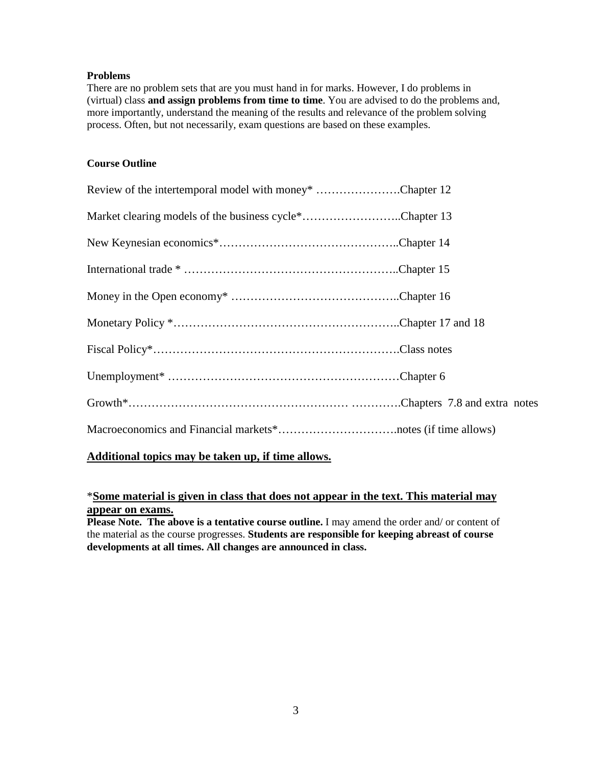## **Problems**

There are no problem sets that are you must hand in for marks. However, I do problems in (virtual) class **and assign problems from time to time**. You are advised to do the problems and, more importantly, understand the meaning of the results and relevance of the problem solving process. Often, but not necessarily, exam questions are based on these examples.

# **Course Outline**

| Review of the intertemporal model with money* Chapter 12 |  |
|----------------------------------------------------------|--|
| Market clearing models of the business cycle*Chapter 13  |  |
|                                                          |  |
|                                                          |  |
|                                                          |  |
|                                                          |  |
|                                                          |  |
|                                                          |  |
|                                                          |  |
|                                                          |  |
|                                                          |  |

# **Additional topics may be taken up, if time allows.**

# \***Some material is given in class that does not appear in the text. This material may appear on exams.**

**Please Note. The above is a tentative course outline.** I may amend the order and/ or content of the material as the course progresses. **Students are responsible for keeping abreast of course developments at all times. All changes are announced in class.**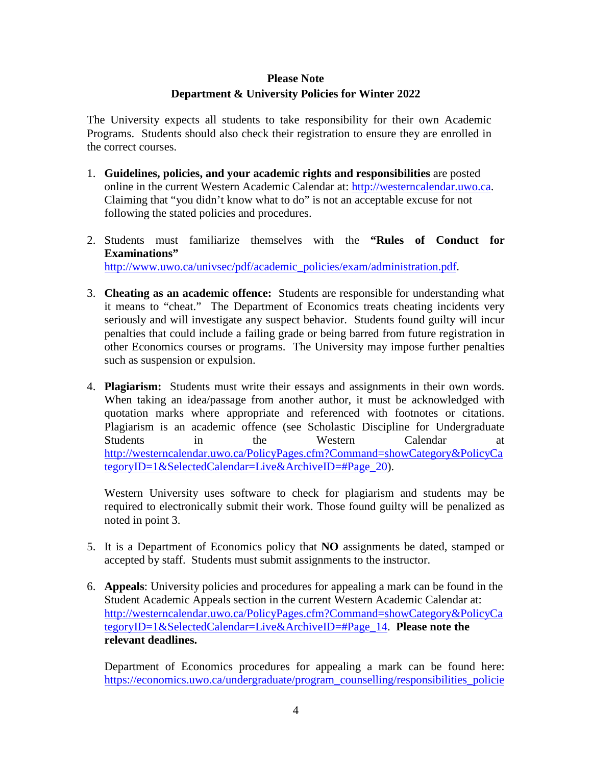# **Please Note Department & University Policies for Winter 2022**

The University expects all students to take responsibility for their own Academic Programs. Students should also check their registration to ensure they are enrolled in the correct courses.

- 1. **Guidelines, policies, and your academic rights and responsibilities** are posted online in the current Western Academic Calendar at: [http://westerncalendar.uwo.ca.](http://westerncalendar.uwo.ca/) Claiming that "you didn't know what to do" is not an acceptable excuse for not following the stated policies and procedures.
- 2. Students must familiarize themselves with the **"Rules of Conduct for Examinations"** [http://www.uwo.ca/univsec/pdf/academic\\_policies/exam/administration.pdf.](http://www.uwo.ca/univsec/pdf/academic_policies/exam/administration.pdf)
- 3. **Cheating as an academic offence:** Students are responsible for understanding what it means to "cheat." The Department of Economics treats cheating incidents very seriously and will investigate any suspect behavior. Students found guilty will incur penalties that could include a failing grade or being barred from future registration in other Economics courses or programs. The University may impose further penalties such as suspension or expulsion.
- 4. **Plagiarism:** Students must write their essays and assignments in their own words. When taking an idea/passage from another author, it must be acknowledged with quotation marks where appropriate and referenced with footnotes or citations. Plagiarism is an academic offence (see Scholastic Discipline for Undergraduate Students in the Western Calendar at [http://westerncalendar.uwo.ca/PolicyPages.cfm?Command=showCategory&PolicyCa](http://westerncalendar.uwo.ca/PolicyPages.cfm?Command=showCategory&PolicyCategoryID=1&SelectedCalendar=Live&ArchiveID=#Page_20) tegoryID=1&SelectedCalendar=Live&ArchiveID=#Page 20).

Western University uses software to check for plagiarism and students may be required to electronically submit their work. Those found guilty will be penalized as noted in point 3.

- 5. It is a Department of Economics policy that **NO** assignments be dated, stamped or accepted by staff. Students must submit assignments to the instructor.
- 6. **Appeals**: University policies and procedures for appealing a mark can be found in the Student Academic Appeals section in the current Western Academic Calendar at: [http://westerncalendar.uwo.ca/PolicyPages.cfm?Command=showCategory&PolicyCa](http://westerncalendar.uwo.ca/PolicyPages.cfm?Command=showCategory&PolicyCategoryID=1&SelectedCalendar=Live&ArchiveID=#Page_14) [tegoryID=1&SelectedCalendar=Live&ArchiveID=#Page\\_14.](http://westerncalendar.uwo.ca/PolicyPages.cfm?Command=showCategory&PolicyCategoryID=1&SelectedCalendar=Live&ArchiveID=#Page_14) **Please note the relevant deadlines.**

Department of Economics procedures for appealing a mark can be found here: [https://economics.uwo.ca/undergraduate/program\\_counselling/responsibilities\\_policie](https://economics.uwo.ca/undergraduate/program_counselling/responsibilities_policies.html#appeals)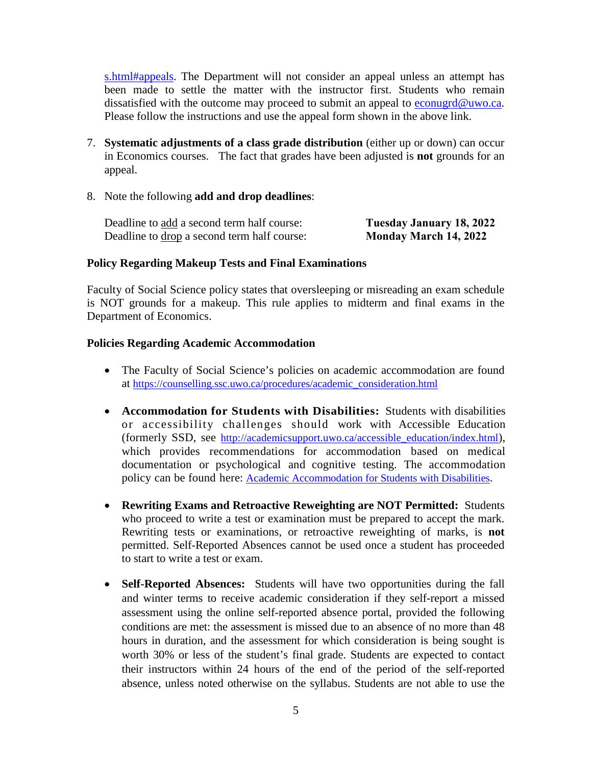[s.html#appeals.](https://economics.uwo.ca/undergraduate/program_counselling/responsibilities_policies.html#appeals) The Department will not consider an appeal unless an attempt has been made to settle the matter with the instructor first. Students who remain dissatisfied with the outcome may proceed to submit an appeal to [econugrd@uwo.ca.](mailto:econugrd@uwo.ca) Please follow the instructions and use the appeal form shown in the above link.

- 7. **Systematic adjustments of a class grade distribution** (either up or down) can occur in Economics courses. The fact that grades have been adjusted is **not** grounds for an appeal.
- 8. Note the following **add and drop deadlines**:

| Deadline to add a second term half course:         | Tuesday January 18, 2022     |
|----------------------------------------------------|------------------------------|
| Deadline to <u>drop</u> a second term half course: | <b>Monday March 14, 2022</b> |

# **Policy Regarding Makeup Tests and Final Examinations**

Faculty of Social Science policy states that oversleeping or misreading an exam schedule is NOT grounds for a makeup. This rule applies to midterm and final exams in the Department of Economics.

# **Policies Regarding Academic Accommodation**

- The Faculty of Social Science's policies on academic accommodation are found at [https://counselling.ssc.uwo.ca/procedures/academic\\_consideration.html](https://counselling.ssc.uwo.ca/procedures/academic_consideration.html)
- **Accommodation for Students with Disabilities:** Students with disabilities or accessibility challenges should work with Accessible Education (formerly SSD, see [http://academicsupport.uwo.ca/accessible\\_education/index.html\)](http://academicsupport.uwo.ca/accessible_education/index.html), which provides recommendations for accommodation based on medical documentation or psychological and cognitive testing. The accommodation policy can be found here: [Academic Accommodation for Students with Disabilities.](https://www.uwo.ca/univsec/pdf/academic_policies/appeals/Academic%20Accommodation_disabilities.pdf)
- **Rewriting Exams and Retroactive Reweighting are NOT Permitted:** Students who proceed to write a test or examination must be prepared to accept the mark. Rewriting tests or examinations, or retroactive reweighting of marks, is **not** permitted. Self-Reported Absences cannot be used once a student has proceeded to start to write a test or exam.
- **Self-Reported Absences:** Students will have two opportunities during the fall and winter terms to receive academic consideration if they self-report a missed assessment using the online self-reported absence portal, provided the following conditions are met: the assessment is missed due to an absence of no more than 48 hours in duration, and the assessment for which consideration is being sought is worth 30% or less of the student's final grade. Students are expected to contact their instructors within 24 hours of the end of the period of the self-reported absence, unless noted otherwise on the syllabus. Students are not able to use the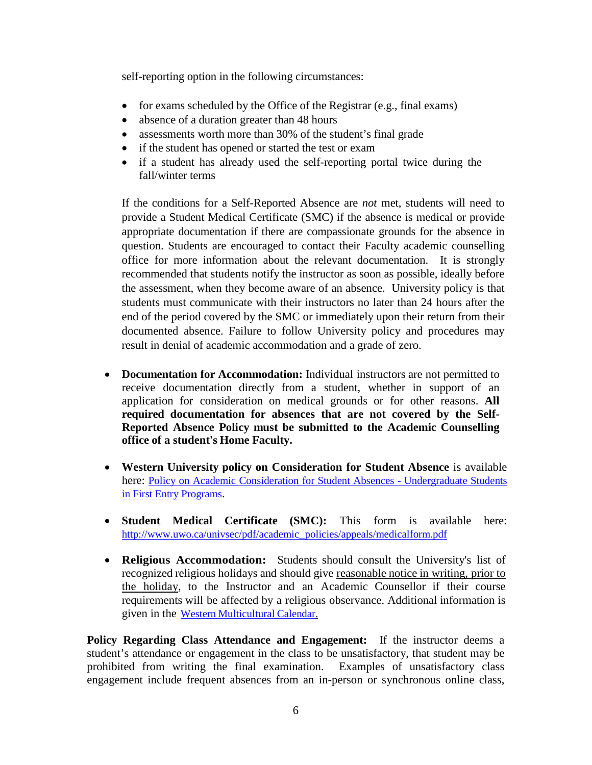self-reporting option in the following circumstances:

- for exams scheduled by the Office of the Registrar (e.g., final exams)
- absence of a duration greater than 48 hours
- assessments worth more than 30% of the student's final grade
- if the student has opened or started the test or exam
- if a student has already used the self-reporting portal twice during the fall/winter terms

If the conditions for a Self-Reported Absence are *not* met, students will need to provide a Student Medical Certificate (SMC) if the absence is medical or provide appropriate documentation if there are compassionate grounds for the absence in question. Students are encouraged to contact their Faculty academic counselling office for more information about the relevant documentation. It is strongly recommended that students notify the instructor as soon as possible, ideally before the assessment, when they become aware of an absence. University policy is that students must communicate with their instructors no later than 24 hours after the end of the period covered by the SMC or immediately upon their return from their documented absence. Failure to follow University policy and procedures may result in denial of academic accommodation and a grade of zero.

- **Documentation for Accommodation:** Individual instructors are not permitted to receive documentation directly from a student, whether in support of an application for consideration on medical grounds or for other reasons. **All required documentation for absences that are not covered by the Self-Reported Absence Policy must be submitted to the Academic Counselling office of a student's Home Faculty.**
- **Western University policy on Consideration for Student Absence** is available here: [Policy on Academic Consideration for Student Absences -](https://www.uwo.ca/univsec/pdf/academic_policies/appeals/accommodation_illness.pdf) Undergraduate Students [in First Entry Programs.](https://www.uwo.ca/univsec/pdf/academic_policies/appeals/accommodation_illness.pdf)
- **Student Medical Certificate (SMC):** This form is available here: [http://www.uwo.ca/univsec/pdf/academic\\_policies/appeals/medicalform.pdf](http://www.uwo.ca/univsec/pdf/academic_policies/appeals/medicalform.pdf)
- **Religious Accommodation:** Students should consult the University's list of recognized religious holidays and should give reasonable notice in writing, prior to the holiday, to the Instructor and an Academic Counsellor if their course requirements will be affected by a religious observance. Additional information is given in the Western [Multicultural](https://multiculturalcalendar.com/ecal/index.php?s=c-univwo) Calendar.

**Policy Regarding Class Attendance and Engagement:** If the instructor deems a student's attendance or engagement in the class to be unsatisfactory, that student may be prohibited from writing the final examination. Examples of unsatisfactory class engagement include frequent absences from an in-person or synchronous online class,